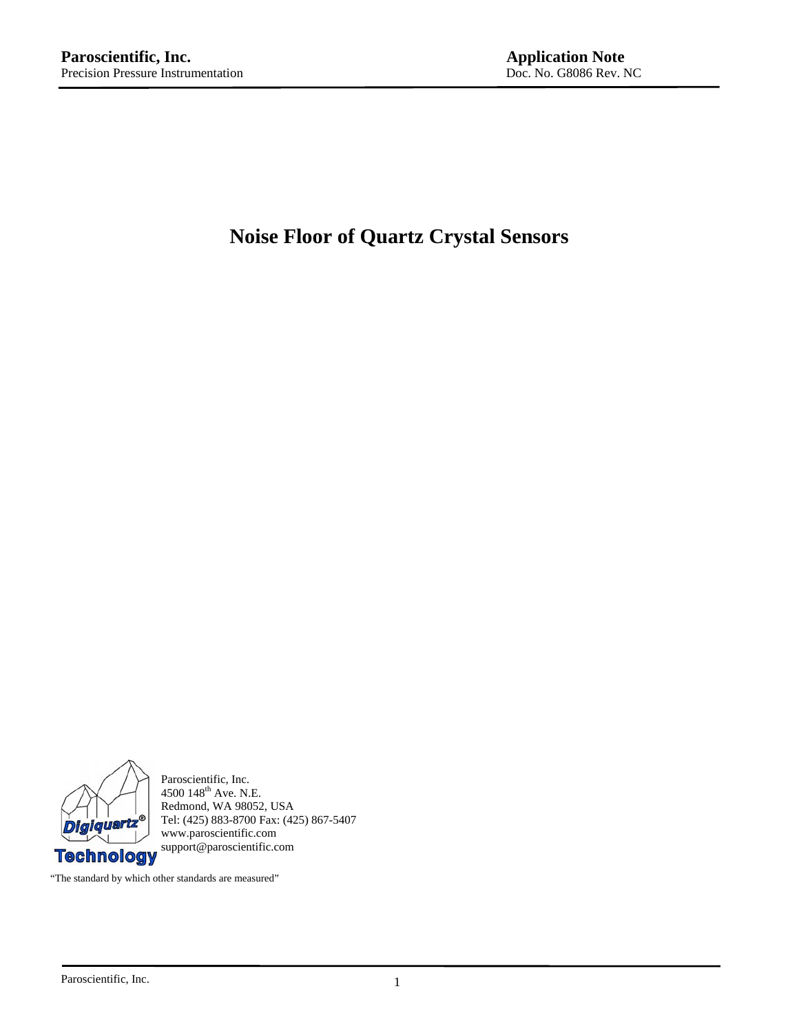# **Noise Floor of Quartz Crystal Sensors**



Paroscientific, Inc.  $4500$   $148^{\text{th}}$  Ave. N.E. Redmond, WA 98052, USA Tel: (425) 883-8700 Fax: (425) 867-5407 www.paroscientific.com support@paroscientific.com

"The standard by which other standards are measured"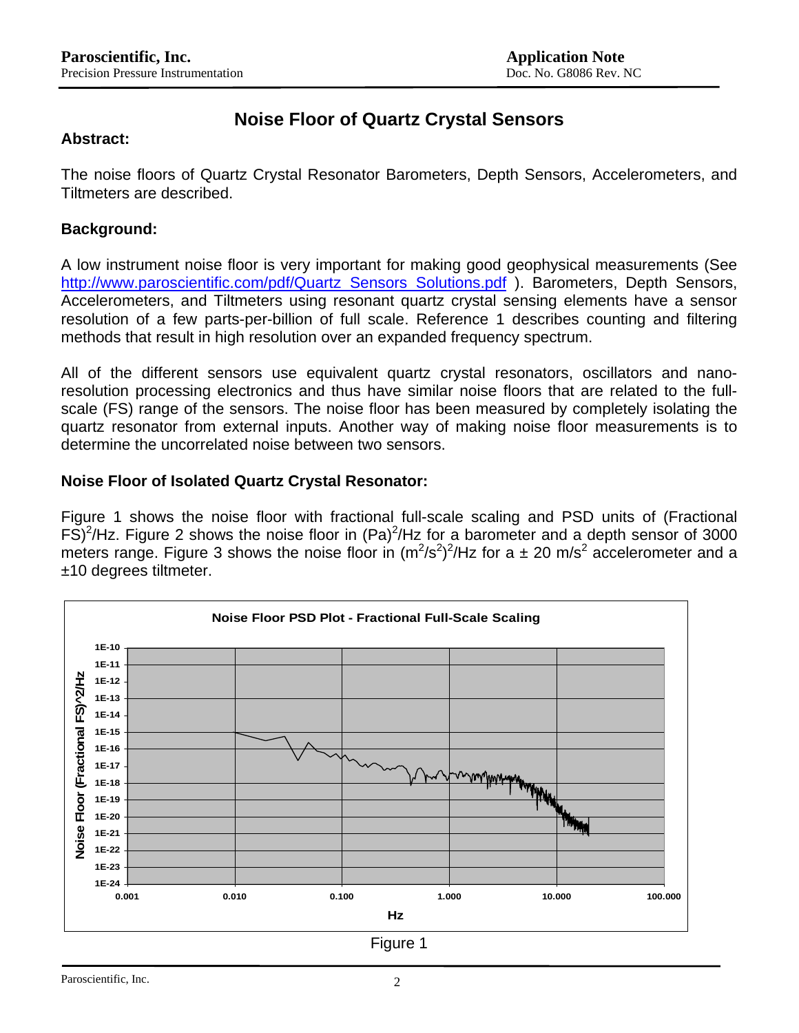## **Noise Floor of Quartz Crystal Sensors**

#### **Abstract:**

The noise floors of Quartz Crystal Resonator Barometers, Depth Sensors, Accelerometers, and Tiltmeters are described.

### **Background:**

A low instrument noise floor is very important for making good geophysical measurements (See [http://www.paroscientific.com/pdf/Quartz\\_Sensors\\_Solutions.pdf](http://www.paroscientific.com/pdf/Quartz_Sensors_Solutions.pdf) ). Barometers, Depth Sensors, Accelerometers, and Tiltmeters using resonant quartz crystal sensing elements have a sensor resolution of a few parts-per-billion of full scale. Reference 1 describes counting and filtering methods that result in high resolution over an expanded frequency spectrum.

All of the different sensors use equivalent quartz crystal resonators, oscillators and nanoresolution processing electronics and thus have similar noise floors that are related to the fullscale (FS) range of the sensors. The noise floor has been measured by completely isolating the quartz resonator from external inputs. Another way of making noise floor measurements is to determine the uncorrelated noise between two sensors.

### **Noise Floor of Isolated Quartz Crystal Resonator:**

Figure 1 shows the noise floor with fractional full-scale scaling and PSD units of (Fractional  $FS)^2$ /Hz. Figure 2 shows the noise floor in (Pa) $^2$ /Hz for a barometer and a depth sensor of 3000 meters range. Figure 3 shows the noise floor in  $(m^2/s^2)^2/Hz$  for a  $\pm$  20 m/s<sup>2</sup> accelerometer and a ±10 degrees tiltmeter.

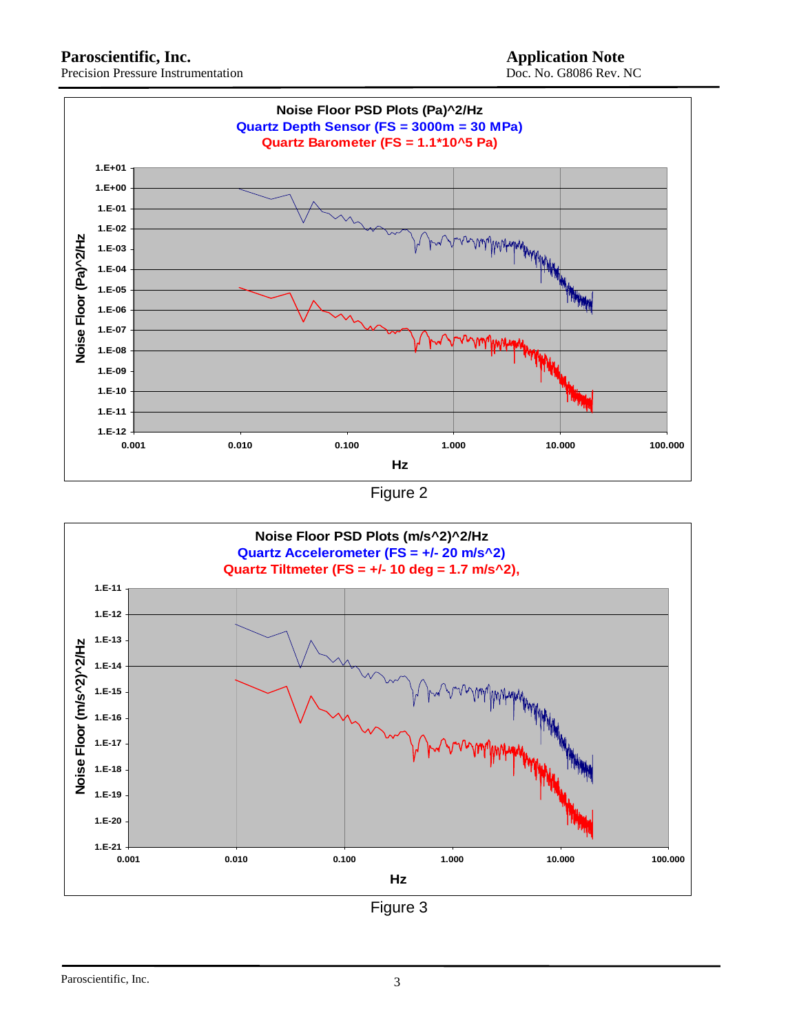**Noise Floor PSD Plots (Pa)^2/Hz Quartz Depth Sensor (FS = 3000m = 30 MPa) Quartz Barometer (FS = 1.1\*10^5 Pa) 1.E+01 1.E+00 1.E-01 1.E-02** Noise Floor (Pa)^2/Hz **Noise Floor (Pa)^2/Hz 1.E-03 1.E-04 1.E-05 1.E-06 1.E-07** mmmm **1.E-08 1.E-09 1.E-10 1.E-11 1.E-12 0.001 0.010 0.100 1.000 10.000 100.000 Hz**





Figure 3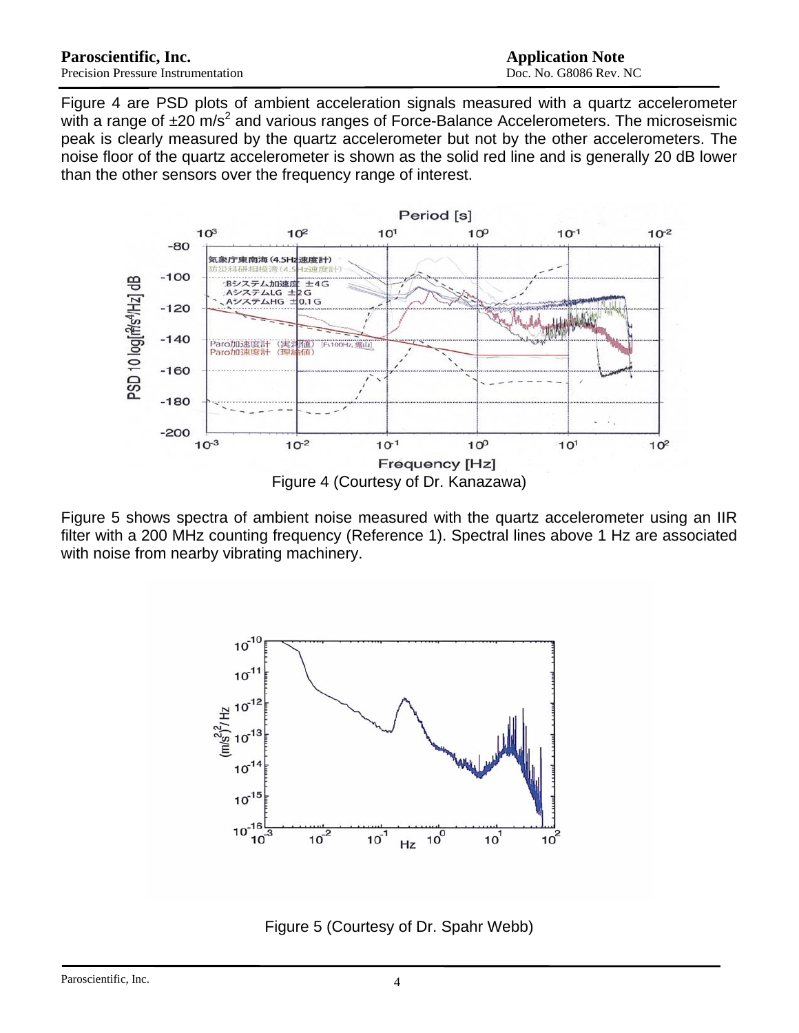Figure 4 are PSD plots of ambient acceleration signals measured with a quartz accelerometer with a range of  $\pm 20$  m/s<sup>2</sup> and various ranges of Force-Balance Accelerometers. The microseismic peak is clearly measured by the quartz accelerometer but not by the other accelerometers. The noise floor of the quartz accelerometer is shown as the solid red line and is generally 20 dB lower than the other sensors over the frequency range of interest.



Figure 5 shows spectra of ambient noise measured with the quartz accelerometer using an IIR filter with a 200 MHz counting frequency (Reference 1). Spectral lines above 1 Hz are associated with noise from nearby vibrating machinery.



Figure 5 (Courtesy of Dr. Spahr Webb)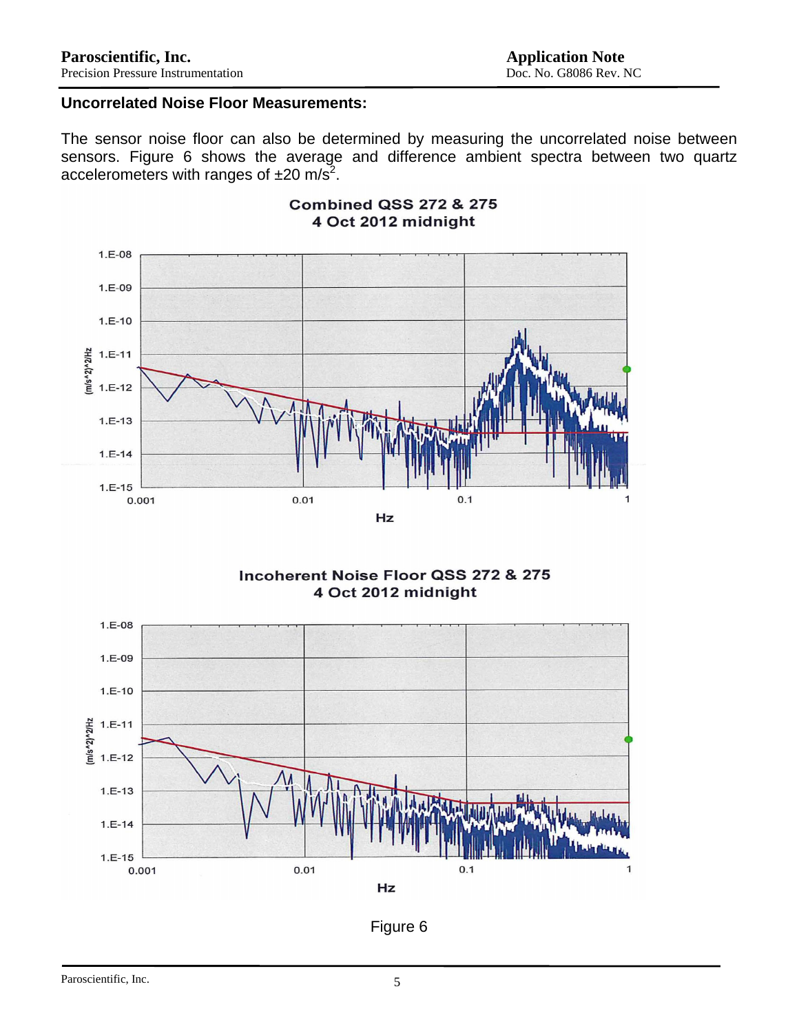## **Uncorrelated Noise Floor Measurements:**

The sensor noise floor can also be determined by measuring the uncorrelated noise between sensors. Figure 6 shows the average and difference ambient spectra between two quartz accelerometers with ranges of  $\pm 20$  m/s<sup>2</sup>.



#### **Combined QSS 272 & 275** 4 Oct 2012 midnight

Incoherent Noise Floor QSS 272 & 275 4 Oct 2012 midnight



Figure 6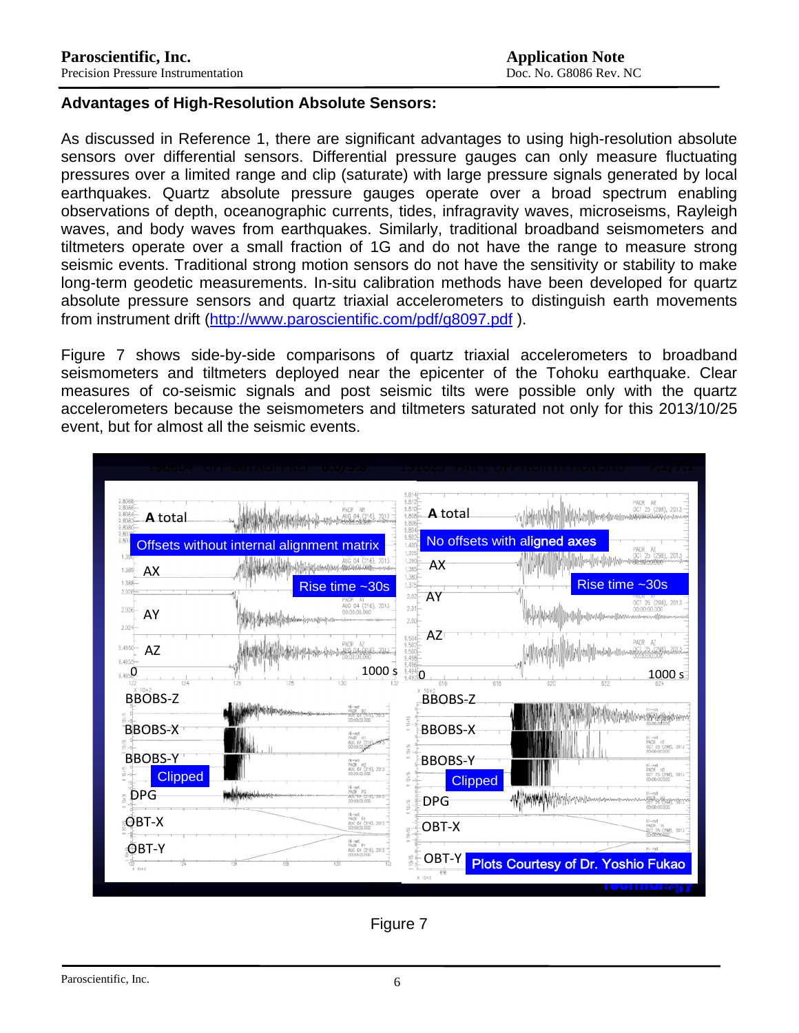#### **Advantages of High-Resolution Absolute Sensors:**

As discussed in Reference 1, there are significant advantages to using high-resolution absolute sensors over differential sensors. Differential pressure gauges can only measure fluctuating pressures over a limited range and clip (saturate) with large pressure signals generated by local earthquakes. Quartz absolute pressure gauges operate over a broad spectrum enabling observations of depth, oceanographic currents, tides, infragravity waves, microseisms, Rayleigh waves, and body waves from earthquakes. Similarly, traditional broadband seismometers and tiltmeters operate over a small fraction of 1G and do not have the range to measure strong seismic events. Traditional strong motion sensors do not have the sensitivity or stability to make long-term geodetic measurements. In-situ calibration methods have been developed for quartz absolute pressure sensors and quartz triaxial accelerometers to distinguish earth movements from instrument drift (<http://www.paroscientific.com/pdf/g8097.pdf>).

Figure 7 shows side-by-side comparisons of quartz triaxial accelerometers to broadband seismometers and tiltmeters deployed near the epicenter of the Tohoku earthquake. Clear measures of co-seismic signals and post seismic tilts were possible only with the quartz accelerometers because the seismometers and tiltmeters saturated not only for this 2013/10/25 event, but for almost all the seismic events.



Figure 7